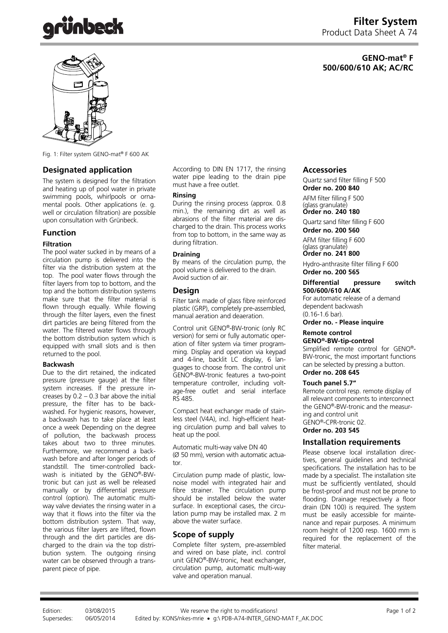

# **GENO-mat® F 500/600/610 AK; AC/RC**



Fig. 1: Filter system GENO-mat® F 600 AK

## **Designated application**

The system is designed for the filtration and heating up of pool water in private swimming pools, whirlpools or ornamental pools. Other applications (e. g. well or circulation filtration) are possible upon consultation with Grünbeck.

### **Function**

## **Filtration**

The pool water sucked in by means of a circulation pump is delivered into the filter via the distribution system at the top. The pool water flows through the filter layers from top to bottom, and the top and the bottom distribution systems make sure that the filter material is flown through equally. While flowing through the filter layers, even the finest dirt particles are being filtered from the water. The filtered water flows through the bottom distribution system which is equipped with small slots and is then returned to the pool.

#### **Backwash**

Due to the dirt retained, the indicated pressure (pressure gauge) at the filter system increases. If the pressure increases by  $0.2 - 0.3$  bar above the initial pressure, the filter has to be backwashed. For hygienic reasons, however, a backwash has to take place at least once a week Depending on the degree of pollution, the backwash process takes about two to three minutes. Furthermore, we recommend a backwash before and after longer periods of standstill. The timer-controlled backwash is initiated by the GENO®-BWtronic but can just as well be released manually or by differential pressure control (option). The automatic multiway valve deviates the rinsing water in a way that it flows into the filter via the bottom distribution system. That way, the various filter layers are lifted, flown through and the dirt particles are discharged to the drain via the top distribution system. The outgoing rinsing water can be observed through a transparent piece of pipe.

According to DIN EN 1717, the rinsing water pipe leading to the drain pipe must have a free outlet.

#### **Rinsing**

During the rinsing process (approx. 0.8 min.), the remaining dirt as well as abrasions of the filter material are discharged to the drain. This process works from top to bottom, in the same way as during filtration.

#### **Draining**

By means of the circulation pump, the pool volume is delivered to the drain. Avoid suction of air.

### **Design**

Filter tank made of glass fibre reinforced plastic (GRP), completely pre-assembled, manual aeration and deaeration.

Control unit GENO®-BW-tronic (only RC version) for semi or fully automatic operation of filter system via timer programming. Display and operation via keypad and 4-line, backlit LC display, 6 languages to choose from. The control unit GENO®-BW-tronic features a two-point temperature controller, including voltage-free outlet and serial interface RS 485.

Compact heat exchanger made of stainless steel (V4A), incl. high-efficient heating circulation pump and ball valves to heat up the pool.

Automatic multi-way valve DN 40 (Ø 50 mm), version with automatic actuator.

Circulation pump made of plastic, lownoise model with integrated hair and fibre strainer. The circulation pump should be installed below the water surface. In exceptional cases, the circulation pump may be installed max. 2 m above the water surface.

## **Scope of supply**

Complete filter system, pre-assembled and wired on base plate, incl. control unit GENO®-BW-tronic, heat exchanger, circulation pump, automatic multi-way valve and operation manual.

#### **Accessories**

Quartz sand filter filling F 500 **Order no. 200 840** 

AFM filter filling F 500 (glass granulate) **Order no**. **240 180**

Quartz sand filter filling F 600 **Order no. 200 560** 

AFM filter filling F 600

(glass granulate) **Order no**. **241 800**

Hydro-anthrasite filter filling F 600 **Order no. 200 565** 

#### **Differential pressure switch 500/600/610 A/AK**

For automatic release of a demand dependent backwash (0.16-1.6 bar).

**Order no. - Please inquire** 

#### **Remote control GENO®-BW-tip-control**

Simplified remote control for GENO®- BW-tronic, the most important functions can be selected by pressing a button. **Order no. 208 645**

## **Touch panel 5.7"**

Remote control resp. remote display of all relevant components to interconnect the GENO®-BW-tronic and the measuring and control unit GENO®-CPR-tronic 02. **Order no. 203 545** 

# **Installation requirements**

Please observe local installation directives, general guidelines and technical specifications. The installation has to be made by a specialist. The installation site must be sufficiently ventilated, should be frost-proof and must not be prone to flooding. Drainage respectively a floor drain (DN 100) is required. The system must be easily accessible for maintenance and repair purposes. A minimum room height of 1200 resp. 1600 mm is required for the replacement of the filter material.